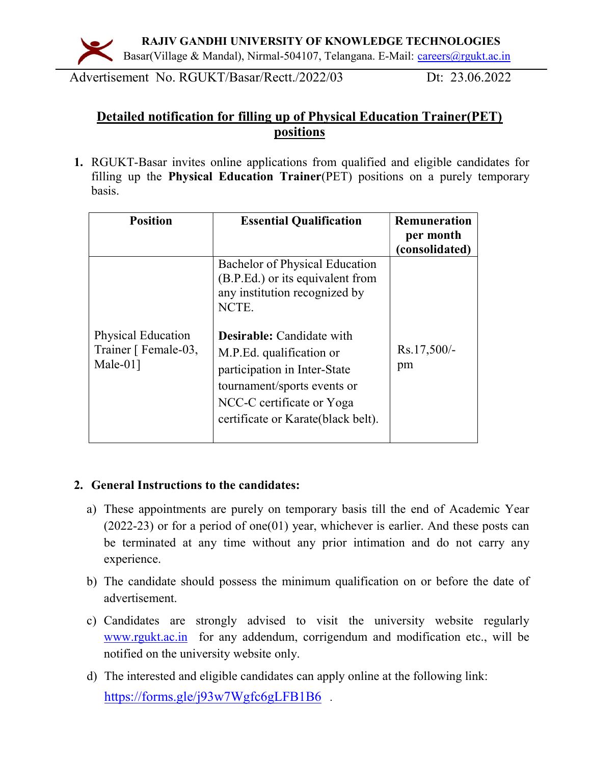

Advertisement No. RGUKT/Basar/Rectt./2022/03 Dt: 23.06.2022

## Detailed notification for filling up of Physical Education Trainer(PET) positions

1. RGUKT-Basar invites online applications from qualified and eligible candidates for filling up the Physical Education Trainer(PET) positions on a purely temporary basis.

| <b>Position</b>                                                   | <b>Essential Qualification</b>                                                                                                                                                                                                                                                                                         | Remuneration<br>per month<br>(consolidated) |
|-------------------------------------------------------------------|------------------------------------------------------------------------------------------------------------------------------------------------------------------------------------------------------------------------------------------------------------------------------------------------------------------------|---------------------------------------------|
| <b>Physical Education</b><br>Trainer [ Female-03,<br>Male- $01$ ] | <b>Bachelor of Physical Education</b><br>(B.P.Ed.) or its equivalent from<br>any institution recognized by<br>NCTE.<br><b>Desirable:</b> Candidate with<br>M.P.Ed. qualification or<br>participation in Inter-State<br>tournament/sports events or<br>NCC-C certificate or Yoga<br>certificate or Karate (black belt). | $Rs.17,500/-$<br>pm                         |
|                                                                   |                                                                                                                                                                                                                                                                                                                        |                                             |

## 2. General Instructions to the candidates:

- a) These appointments are purely on temporary basis till the end of Academic Year (2022-23) or for a period of one(01) year, whichever is earlier. And these posts can be terminated at any time without any prior intimation and do not carry any experience.
- b) The candidate should possess the minimum qualification on or before the date of advertisement.
- c) Candidates are strongly advised to visit the university website regularly www.rgukt.ac.in for any addendum, corrigendum and modification etc., will be notified on the university website only.
- d) The interested and eligible candidates can apply online at the following link: https://forms.gle/j93w7Wgfc6gLFB1B6.